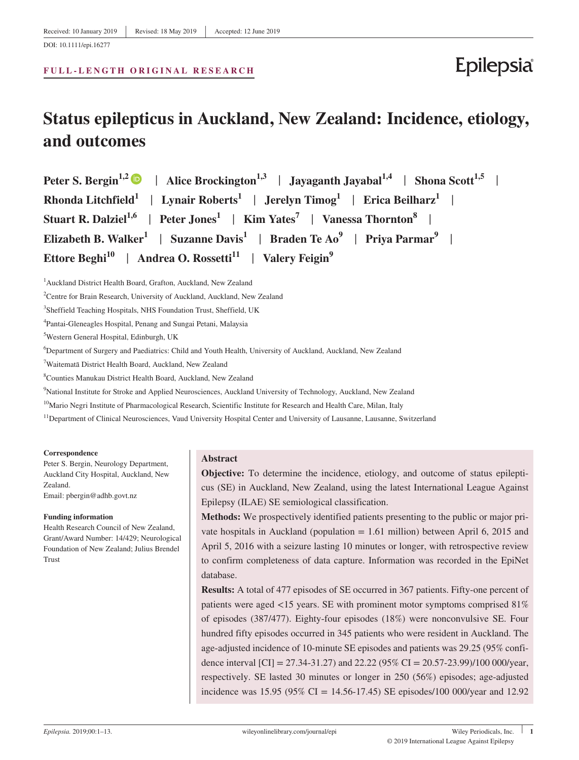#### DOI: 10.1111/epi.16277

#### **FULL‐LENGTH ORIGINAL RESEARCH**

# Epilepsia

## **Status epilepticus in Auckland, New Zealand: Incidence, etiology, and outcomes**

| Peter S. Bergin <sup>1,2</sup> •   Alice Brockington <sup>1,3</sup>   Jayaganth Jayabal <sup>1,4</sup>   Shona Scott <sup>1,5</sup> |
|-------------------------------------------------------------------------------------------------------------------------------------|
| Rhonda Litchfield <sup>1</sup>   Lynair Roberts <sup>1</sup>   Jerelyn Timog <sup>1</sup>   Erica Beilharz <sup>1</sup>             |
| Stuart R. Dalziel <sup>1,6</sup>   Peter Jones <sup>1</sup>   Kim Yates <sup>7</sup>   Vanessa Thornton <sup>8</sup>                |
| Elizabeth B. Walker <sup>1</sup>   Suzanne Davis <sup>1</sup>   Braden Te Ao <sup>9</sup>   Priya Parmar <sup>9</sup>               |
| Ettore Beghi <sup>10</sup>   Andrea O. Rossetti <sup>11</sup>   Valery Feigin <sup>9</sup>                                          |

<sup>1</sup> Auckland District Health Board, Grafton, Auckland, New Zealand

4 Pantai‐Gleneagles Hospital, Penang and Sungai Petani, Malaysia

5 Western General Hospital, Edinburgh, UK

6 Department of Surgery and Paediatrics: Child and Youth Health, University of Auckland, Auckland, New Zealand

7 Waitematā District Health Board, Auckland, New Zealand

8 Counties Manukau District Health Board, Auckland, New Zealand

9 National Institute for Stroke and Applied Neurosciences, Auckland University of Technology, Auckland, New Zealand

<sup>10</sup>Mario Negri Institute of Pharmacological Research, Scientific Institute for Research and Health Care, Milan, Italy

<sup>11</sup>Department of Clinical Neurosciences, Vaud University Hospital Center and University of Lausanne, Lausanne, Switzerland

#### **Correspondence**

Peter S. Bergin, Neurology Department, Auckland City Hospital, Auckland, New Zealand. Email: [pbergin@adhb.govt.nz](mailto:pbergin@adhb.govt.nz)

#### **Funding information**

Health Research Council of New Zealand, Grant/Award Number: 14/429; Neurological Foundation of New Zealand; Julius Brendel Trust

#### **Abstract**

**Objective:** To determine the incidence, etiology, and outcome of status epilepticus (SE) in Auckland, New Zealand, using the latest International League Against Epilepsy (ILAE) SE semiological classification.

**Methods:** We prospectively identified patients presenting to the public or major private hospitals in Auckland (population  $= 1.61$  million) between April 6, 2015 and April 5, 2016 with a seizure lasting 10 minutes or longer, with retrospective review to confirm completeness of data capture. Information was recorded in the EpiNet database.

**Results:** A total of 477 episodes of SE occurred in 367 patients. Fifty-one percent of patients were aged <15 years. SE with prominent motor symptoms comprised 81% of episodes (387/477). Eighty‐four episodes (18%) were nonconvulsive SE. Four hundred fifty episodes occurred in 345 patients who were resident in Auckland. The age‐adjusted incidence of 10‐minute SE episodes and patients was 29.25 (95% confidence interval  $\text{[CI]} = 27.34 - 31.27$  and  $22.22$  (95% CI = 20.57-23.99)/100 000/year, respectively. SE lasted 30 minutes or longer in 250 (56%) episodes; age‐adjusted incidence was 15.95 (95% CI = 14.56‐17.45) SE episodes/100 000/year and 12.92

<sup>&</sup>lt;sup>2</sup> Centre for Brain Research, University of Auckland, Auckland, New Zealand

<sup>3</sup> Sheffield Teaching Hospitals, NHS Foundation Trust, Sheffield, UK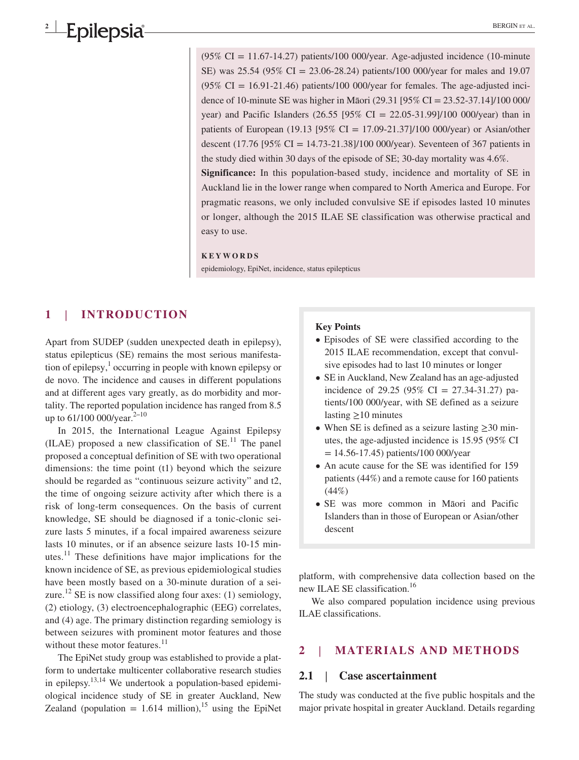#### **<sup>2</sup> <sup>|</sup> Epilepsia BERGIN ET AL.**

(95% CI = 11.67-14.27) patients/100 000/year. Age-adjusted incidence (10-minute SE) was 25.54 (95% CI = 23.06‐28.24) patients/100 000/year for males and 19.07 (95% CI = 16.91-21.46) patients/100 000/year for females. The age-adjusted incidence of 10‐minute SE was higher in Māori (29.31 [95% CI = 23.52‐37.14]/100 000/ year) and Pacific Islanders (26.55 [95% CI = 22.05-31.99]/100 000/year) than in patients of European (19.13 [95% CI = 17.09-21.37]/100 000/year) or Asian/other descent (17.76 [95% CI = 14.73-21.38]/100 000/year). Seventeen of 367 patients in the study died within 30 days of the episode of SE; 30‐day mortality was 4.6%. Significance: In this population-based study, incidence and mortality of SE in Auckland lie in the lower range when compared to North America and Europe. For pragmatic reasons, we only included convulsive SE if episodes lasted 10 minutes or longer, although the 2015 ILAE SE classification was otherwise practical and

## **KEYWORDS**

easy to use.

epidemiology, EpiNet, incidence, status epilepticus

#### **1** | **INTRODUCTION**

Apart from SUDEP (sudden unexpected death in epilepsy), status epilepticus (SE) remains the most serious manifestation of epilepsy,<sup>1</sup> occurring in people with known epilepsy or de novo. The incidence and causes in different populations and at different ages vary greatly, as do morbidity and mortality. The reported population incidence has ranged from 8.5 up to  $61/100 000$ /year.<sup>2-10</sup>

In 2015, the International League Against Epilepsy (ILAE) proposed a new classification of  $SE<sup>11</sup>$ . The panel proposed a conceptual definition of SE with two operational dimensions: the time point (t1) beyond which the seizure should be regarded as "continuous seizure activity" and t2, the time of ongoing seizure activity after which there is a risk of long‐term consequences. On the basis of current knowledge, SE should be diagnosed if a tonic‐clonic seizure lasts 5 minutes, if a focal impaired awareness seizure lasts 10 minutes, or if an absence seizure lasts 10‐15 minutes.<sup>11</sup> These definitions have major implications for the known incidence of SE, as previous epidemiological studies have been mostly based on a 30-minute duration of a seizure.<sup>12</sup> SE is now classified along four axes: (1) semiology, (2) etiology, (3) electroencephalographic (EEG) correlates, and (4) age. The primary distinction regarding semiology is between seizures with prominent motor features and those without these motor features.<sup>11</sup>

The EpiNet study group was established to provide a platform to undertake multicenter collaborative research studies in epilepsy. $13,14$  We undertook a population-based epidemiological incidence study of SE in greater Auckland, New Zealand (population =  $1.614$  million),<sup>15</sup> using the EpiNet

#### **Key Points**

- Episodes of SE were classified according to the 2015 ILAE recommendation, except that convulsive episodes had to last 10 minutes or longer
- SE in Auckland, New Zealand has an age-adjusted incidence of 29.25 (95% CI = 27.34-31.27) patients/100 000/year, with SE defined as a seizure lasting  $\geq$ 10 minutes
- When SE is defined as a seizure lasting >30 minutes, the age‐adjusted incidence is 15.95 (95% CI  $= 14.56 - 17.45$ ) patients/100 000/year
- An acute cause for the SE was identified for 159 patients (44%) and a remote cause for 160 patients (44%)
- SE was more common in Māori and Pacific Islanders than in those of European or Asian/other descent

platform, with comprehensive data collection based on the new ILAE SE classification.<sup>16</sup>

We also compared population incidence using previous ILAE classifications.

#### **2** | **MATERIALS AND METHODS**

#### **2.1** | **Case ascertainment**

The study was conducted at the five public hospitals and the major private hospital in greater Auckland. Details regarding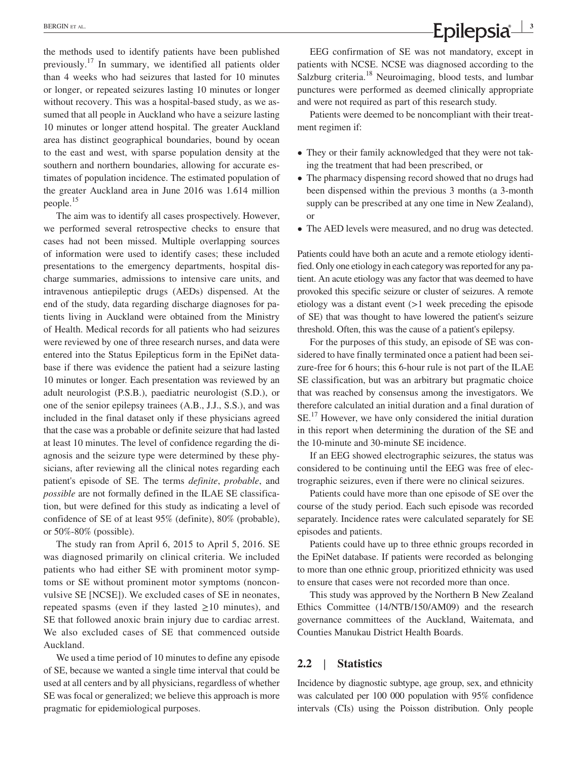the methods used to identify patients have been published previously.17 In summary, we identified all patients older than 4 weeks who had seizures that lasted for 10 minutes or longer, or repeated seizures lasting 10 minutes or longer without recovery. This was a hospital-based study, as we assumed that all people in Auckland who have a seizure lasting 10 minutes or longer attend hospital. The greater Auckland area has distinct geographical boundaries, bound by ocean to the east and west, with sparse population density at the southern and northern boundaries, allowing for accurate estimates of population incidence. The estimated population of the greater Auckland area in June 2016 was 1.614 million people.<sup>15</sup>

The aim was to identify all cases prospectively. However, we performed several retrospective checks to ensure that cases had not been missed. Multiple overlapping sources of information were used to identify cases; these included presentations to the emergency departments, hospital discharge summaries, admissions to intensive care units, and intravenous antiepileptic drugs (AEDs) dispensed. At the end of the study, data regarding discharge diagnoses for patients living in Auckland were obtained from the Ministry of Health. Medical records for all patients who had seizures were reviewed by one of three research nurses, and data were entered into the Status Epilepticus form in the EpiNet database if there was evidence the patient had a seizure lasting 10 minutes or longer. Each presentation was reviewed by an adult neurologist (P.S.B.), paediatric neurologist (S.D.), or one of the senior epilepsy trainees (A.B., J.J., S.S.), and was included in the final dataset only if these physicians agreed that the case was a probable or definite seizure that had lasted at least 10 minutes. The level of confidence regarding the diagnosis and the seizure type were determined by these physicians, after reviewing all the clinical notes regarding each patient's episode of SE. The terms *definite*, *probable*, and *possible* are not formally defined in the ILAE SE classification, but were defined for this study as indicating a level of confidence of SE of at least 95% (definite), 80% (probable), or 50%‐80% (possible).

The study ran from April 6, 2015 to April 5, 2016. SE was diagnosed primarily on clinical criteria. We included patients who had either SE with prominent motor symptoms or SE without prominent motor symptoms (nonconvulsive SE [NCSE]). We excluded cases of SE in neonates, repeated spasms (even if they lasted  $\geq 10$  minutes), and SE that followed anoxic brain injury due to cardiac arrest. We also excluded cases of SE that commenced outside Auckland.

We used a time period of 10 minutes to define any episode of SE, because we wanted a single time interval that could be used at all centers and by all physicians, regardless of whether SE was focal or generalized; we believe this approach is more pragmatic for epidemiological purposes.

EEG confirmation of SE was not mandatory, except in patients with NCSE. NCSE was diagnosed according to the Salzburg criteria.<sup>18</sup> Neuroimaging, blood tests, and lumbar punctures were performed as deemed clinically appropriate and were not required as part of this research study.

Patients were deemed to be noncompliant with their treatment regimen if:

- They or their family acknowledged that they were not taking the treatment that had been prescribed, or
- The pharmacy dispensing record showed that no drugs had been dispensed within the previous 3 months (a 3‐month supply can be prescribed at any one time in New Zealand), or
- The AED levels were measured, and no drug was detected.

Patients could have both an acute and a remote etiology identified. Only one etiology in each category was reported for any patient. An acute etiology was any factor that was deemed to have provoked this specific seizure or cluster of seizures. A remote etiology was a distant event (>1 week preceding the episode of SE) that was thought to have lowered the patient's seizure threshold. Often, this was the cause of a patient's epilepsy.

For the purposes of this study, an episode of SE was considered to have finally terminated once a patient had been seizure-free for 6 hours; this 6-hour rule is not part of the ILAE SE classification, but was an arbitrary but pragmatic choice that was reached by consensus among the investigators. We therefore calculated an initial duration and a final duration of SE.<sup>17</sup> However, we have only considered the initial duration in this report when determining the duration of the SE and the 10‐minute and 30‐minute SE incidence.

If an EEG showed electrographic seizures, the status was considered to be continuing until the EEG was free of electrographic seizures, even if there were no clinical seizures.

Patients could have more than one episode of SE over the course of the study period. Each such episode was recorded separately. Incidence rates were calculated separately for SE episodes and patients.

Patients could have up to three ethnic groups recorded in the EpiNet database. If patients were recorded as belonging to more than one ethnic group, prioritized ethnicity was used to ensure that cases were not recorded more than once.

This study was approved by the Northern B New Zealand Ethics Committee (14/NTB/150/AM09) and the research governance committees of the Auckland, Waitemata, and Counties Manukau District Health Boards.

#### **2.2** | **Statistics**

Incidence by diagnostic subtype, age group, sex, and ethnicity was calculated per 100 000 population with 95% confidence intervals (CIs) using the Poisson distribution. Only people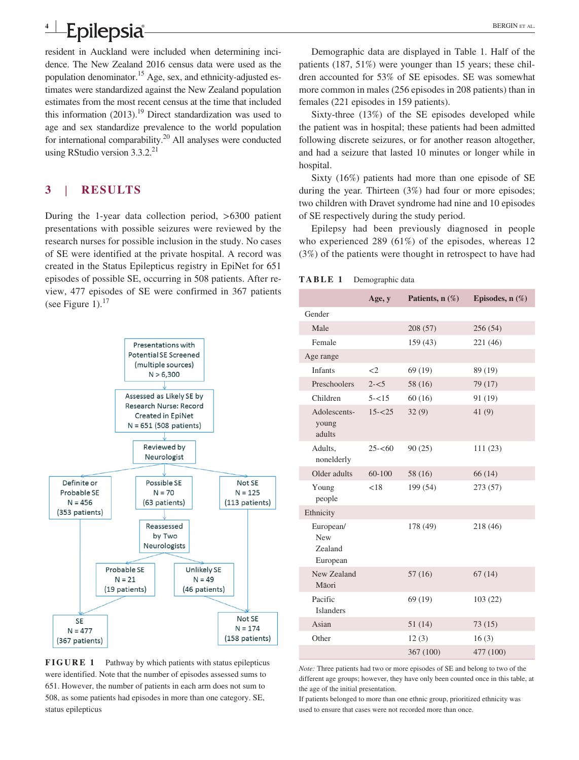**<sup>4</sup> <sup>|</sup> Epilepsia BERGIN ET AL.** 

resident in Auckland were included when determining incidence. The New Zealand 2016 census data were used as the population denominator.<sup>15</sup> Age, sex, and ethnicity-adjusted estimates were standardized against the New Zealand population estimates from the most recent census at the time that included this information  $(2013).<sup>19</sup>$  Direct standardization was used to age and sex standardize prevalence to the world population for international comparability. $2^0$  All analyses were conducted using RStudio version  $3.3.2^{21}$ 

### **3** | **RESULTS**

During the 1‐year data collection period, >6300 patient presentations with possible seizures were reviewed by the research nurses for possible inclusion in the study. No cases of SE were identified at the private hospital. A record was created in the Status Epilepticus registry in EpiNet for 651 episodes of possible SE, occurring in 508 patients. After review, 477 episodes of SE were confirmed in 367 patients (see Figure 1). $^{17}$ 



**FIGURE 1** Pathway by which patients with status epilepticus were identified. Note that the number of episodes assessed sums to 651. However, the number of patients in each arm does not sum to 508, as some patients had episodes in more than one category. SE, status epilepticus

Demographic data are displayed in Table 1. Half of the patients (187, 51%) were younger than 15 years; these children accounted for 53% of SE episodes. SE was somewhat more common in males (256 episodes in 208 patients) than in females (221 episodes in 159 patients).

Sixty-three (13%) of the SE episodes developed while the patient was in hospital; these patients had been admitted following discrete seizures, or for another reason altogether, and had a seizure that lasted 10 minutes or longer while in hospital.

Sixty (16%) patients had more than one episode of SE during the year. Thirteen (3%) had four or more episodes; two children with Dravet syndrome had nine and 10 episodes of SE respectively during the study period.

Epilepsy had been previously diagnosed in people who experienced 289 (61%) of the episodes, whereas 12 (3%) of the patients were thought in retrospect to have had

#### **TABLE 1** Demographic data

|                                                | Age, y    | Patients, $n$ $(\%)$ | Episodes, $n$ $(\%)$ |
|------------------------------------------------|-----------|----------------------|----------------------|
| Gender                                         |           |                      |                      |
| Male                                           |           | 208 (57)             | 256(54)              |
| Female                                         |           | 159 (43)             | 221 (46)             |
| Age range                                      |           |                      |                      |
| Infants                                        | $\leq$ 2  | 69 (19)              | 89 (19)              |
| Preschoolers                                   | $2 - 5$   | 58 (16)              | 79 (17)              |
| Children                                       | $5 - 15$  | 60(16)               | 91 (19)              |
| Adolescents-<br>young<br>adults                | $15 - 25$ | 32(9)                | 41(9)                |
| Adults,<br>nonelderly                          | $25 - 60$ | 90(25)               | 111(23)              |
| Older adults                                   | 60-100    | 58 (16)              | 66 (14)              |
| Young<br>people                                | < 18      | 199 (54)             | 273 (57)             |
| Ethnicity                                      |           |                      |                      |
| European/<br><b>New</b><br>Zealand<br>European |           | 178 (49)             | 218 (46)             |
| New Zealand<br>Māori                           |           | 57(16)               | 67(14)               |
| Pacific<br><b>Islanders</b>                    |           | 69 (19)              | 103(22)              |
| Asian                                          |           | 51(14)               | 73(15)               |
| Other                                          |           | 12(3)                | 16(3)                |
|                                                |           | 367 (100)            | 477 (100)            |

*Note:* Three patients had two or more episodes of SE and belong to two of the different age groups; however, they have only been counted once in this table, at the age of the initial presentation.

If patients belonged to more than one ethnic group, prioritized ethnicity was used to ensure that cases were not recorded more than once.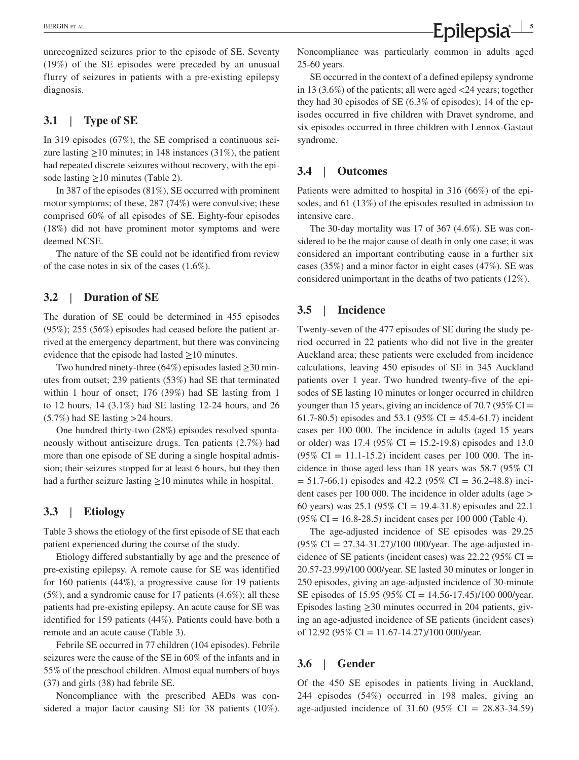unrecognized seizures prior to the episode of SE. Seventy (19%) of the SE episodes were preceded by an unusual flurry of seizures in patients with a pre‐existing epilepsy diagnosis.

#### **3.1** | **Type of SE**

In 319 episodes (67%), the SE comprised a continuous seizure lasting  $\geq$ 10 minutes; in 148 instances (31%), the patient had repeated discrete seizures without recovery, with the episode lasting  $\geq$ 10 minutes (Table 2).

In 387 of the episodes (81%), SE occurred with prominent motor symptoms; of these, 287 (74%) were convulsive; these comprised 60% of all episodes of SE. Eighty‐four episodes (18%) did not have prominent motor symptoms and were deemed NCSE.

The nature of the SE could not be identified from review of the case notes in six of the cases (1.6%).

#### **3.2** | **Duration of SE**

The duration of SE could be determined in 455 episodes (95%); 255 (56%) episodes had ceased before the patient arrived at the emergency department, but there was convincing evidence that the episode had lasted  $\geq$ 10 minutes.

Two hundred ninety‐three (64%) episodes lasted ≥30 minutes from outset; 239 patients (53%) had SE that terminated within 1 hour of onset; 176 (39%) had SE lasting from 1 to 12 hours, 14 (3.1%) had SE lasting 12‐24 hours, and 26 (5.7%) had SE lasting >24 hours.

One hundred thirty‐two (28%) episodes resolved spontaneously without antiseizure drugs. Ten patients (2.7%) had more than one episode of SE during a single hospital admission; their seizures stopped for at least 6 hours, but they then had a further seizure lasting  $\geq$ 10 minutes while in hospital.

#### **3.3** | **Etiology**

Table 3 shows the etiology of the first episode of SE that each patient experienced during the course of the study.

Etiology differed substantially by age and the presence of pre‐existing epilepsy. A remote cause for SE was identified for 160 patients (44%), a progressive cause for 19 patients (5%), and a syndromic cause for 17 patients (4.6%); all these patients had pre‐existing epilepsy. An acute cause for SE was identified for 159 patients (44%). Patients could have both a remote and an acute cause (Table 3).

Febrile SE occurred in 77 children (104 episodes). Febrile seizures were the cause of the SE in 60% of the infants and in 55% of the preschool children. Almost equal numbers of boys (37) and girls (38) had febrile SE.

Noncompliance with the prescribed AEDs was considered a major factor causing SE for 38 patients (10%). Noncompliance was particularly common in adults aged 25‐60 years.

SE occurred in the context of a defined epilepsy syndrome in 13 (3.6%) of the patients; all were aged  $\langle 24 \rangle$  years; together they had 30 episodes of SE (6.3% of episodes); 14 of the episodes occurred in five children with Dravet syndrome, and six episodes occurred in three children with Lennox‐Gastaut syndrome.

#### **3.4** | **Outcomes**

Patients were admitted to hospital in 316 (66%) of the episodes, and 61 (13%) of the episodes resulted in admission to intensive care.

The 30-day mortality was 17 of 367 (4.6%). SE was considered to be the major cause of death in only one case; it was considered an important contributing cause in a further six cases (35%) and a minor factor in eight cases (47%). SE was considered unimportant in the deaths of two patients (12%).

#### **3.5** | **Incidence**

Twenty‐seven of the 477 episodes of SE during the study period occurred in 22 patients who did not live in the greater Auckland area; these patients were excluded from incidence calculations, leaving 450 episodes of SE in 345 Auckland patients over 1 year. Two hundred twenty‐five of the episodes of SE lasting 10 minutes or longer occurred in children younger than 15 years, giving an incidence of 70.7 (95%  $CI =$ 61.7-80.5) episodes and 53.1 (95% CI = 45.4-61.7) incident cases per 100 000. The incidence in adults (aged 15 years or older) was 17.4 (95% CI = 15.2-19.8) episodes and 13.0  $(95\% \text{ CI} = 11.1 - 15.2)$  incident cases per 100 000. The incidence in those aged less than 18 years was 58.7 (95% CI  $= 51.7-66.1$ ) episodes and 42.2 (95% CI = 36.2-48.8) incident cases per 100 000. The incidence in older adults (age > 60 years) was 25.1 (95% CI = 19.4‐31.8) episodes and 22.1 (95% CI = 16.8‐28.5) incident cases per 100 000 (Table 4).

The age-adjusted incidence of SE episodes was 29.25  $(95\% \text{ CI} = 27.34 - 31.27) / 100\,000$ /year. The age-adjusted incidence of SE patients (incident cases) was  $22.22$  (95% CI = 20.57‐23.99)/100 000/year. SE lasted 30 minutes or longer in 250 episodes, giving an age‐adjusted incidence of 30‐minute SE episodes of 15.95 (95% CI = 14.56‐17.45)/100 000/year. Episodes lasting  $\geq$  30 minutes occurred in 204 patients, giving an age‐adjusted incidence of SE patients (incident cases) of 12.92 (95% CI =  $11.67 - 14.27$ )/100 000/year.

#### **3.6** | **Gender**

Of the 450 SE episodes in patients living in Auckland, 244 episodes (54%) occurred in 198 males, giving an age-adjusted incidence of  $31.60$  (95% CI = 28.83-34.59)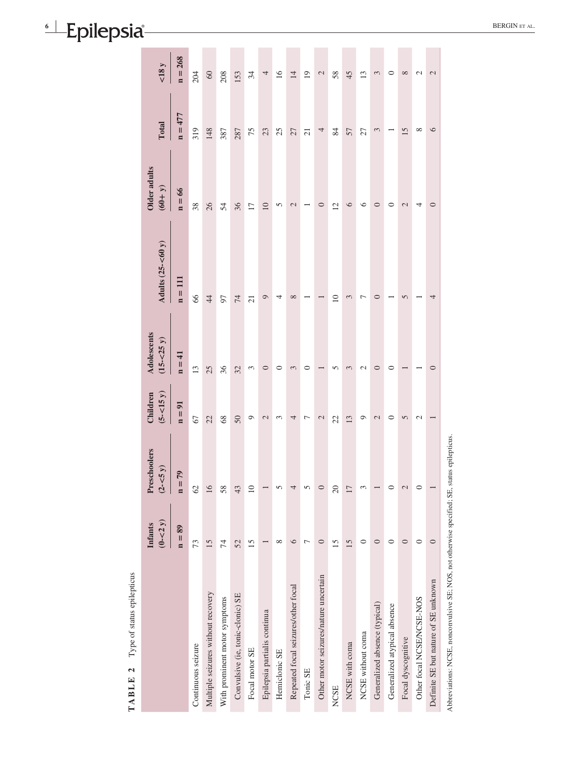# **6 |** BERGIN

 $\mathcal{L}^{\text{max}}$ 

 $\mathcal{L}^{\text{max}}$ 

 $\mathcal{L}^{\text{max}}$ 

**COL** 

 $\mathcal{L}^{\text{max}}$ 

 $\mathcal{L}^{\text{max}}$ 

 $\mathcal{L}^{\mathcal{L}}$ 

 $\sim$ 

| Type of status epilepticus<br>TABLE 2 |                              |                            |                            |                                     |                      |                            |                 |                 |
|---------------------------------------|------------------------------|----------------------------|----------------------------|-------------------------------------|----------------------|----------------------------|-----------------|-----------------|
|                                       | $(0 - 2y)$<br><b>Infants</b> | Preschoolers<br>$(2 - 5y)$ | $(5 - < 15 y)$<br>Children | <b>Adolescents</b><br>$(15 - 25 y)$ | Adults $(25 - 60 y)$ | Older adults<br>$(60 + y)$ | Total           | $\leq$ 18 y     |
|                                       | $n = 89$                     | $n = 79$                   | $n = 91$                   | $n = 41$                            | $n = 111$            | $n = 66$                   | $n = 477$       | $n = 268$       |
| Continuous seizure                    | 73                           | $\overline{c}$             | 67                         | 13                                  | 66                   | 38                         | 319             | <b>204</b>      |
| Multiple seizures without recovery    | 15                           | $\overline{16}$            | 22                         | 25                                  | $\overline{4}$       | 26                         | 148             | 60              |
| With prominent motor symptoms         | 74                           | 58                         | 8 <sup>o</sup>             | 36                                  | 50                   | 54                         | 387             | 208             |
| Convulsive (ie, tonic-clonic) SE      | 52                           | 43                         | 50                         | 32                                  | $\overline{7}$       | 36                         | 287             | 153             |
| Focal motor SE                        | 15                           | $\subseteq$                | ๑                          | 3                                   | 21                   | $\overline{17}$            | 75              | 34              |
| Epilepsia partialis continua          |                              |                            | 2                          | $\circ$                             | $\circ$              | $\overline{10}$            | 23              | $\overline{a}$  |
| Hemiclonic SE                         | $\infty$                     |                            |                            | $\circ$                             | 4                    | 5                          | 25              | $\geq$          |
| Repeated focal seizures/other focal   | $\circ$                      |                            | 4                          | 3                                   | $\infty$             | 2                          | 27              | $\overline{14}$ |
| Tonic SE                              | 7                            | S                          | Γ                          | $\circ$                             |                      |                            | $\overline{21}$ | $\overline{19}$ |
| Other motor seizures/nature uncertain | $\circ$                      | $\circ$                    | 2                          |                                     |                      | $\circ$                    | 4               | $\mathbf{C}$    |
| <b>NCSE</b>                           | 5                            | $\overline{c}$             | 22                         | n                                   | $\supseteq$          | $\overline{c}$             | 84              | 58              |
| NCSE with coma                        | 15                           | $\overline{17}$            | 13                         | 3                                   | 3                    | $\circ$                    | 57              | 45              |
| NCSE without coma                     | 0                            | 3                          | っ                          | N                                   |                      | $\circ$                    | 27              | $\overline{13}$ |
| Generalized absence (typical)         | $\circ$                      |                            | $\mathcal{C}$              | $\circ$                             | 0                    | $\circ$                    | 3               | 3               |
| Generalized atypical absence          | 0                            | 0                          |                            | 0                                   |                      | 0                          |                 | $\circ$         |
| Focal dyscognitive                    | $\circ$                      | 2                          |                            |                                     | $\sqrt{2}$           | 2                          | 15              | $\infty$        |
| Other focal NCSE/NCSE-NOS             | 0                            | ⊂                          | N                          |                                     |                      | 4                          | $\infty$        | 2               |
| Definite SE but nature of SE unknown  | $\circ$                      |                            |                            | $\circ$                             | 4                    | $\circ$                    | $\circ$         | 2               |
|                                       |                              |                            |                            |                                     |                      |                            |                 |                 |

Abbreviations: NCSE, nonconvulsive SE; NOS, not otherwise specified; SE, status epilepticus. Abbreviations: NCSE, nonconvulsive SE; NOS, not otherwise specified; SE, status epilepticus.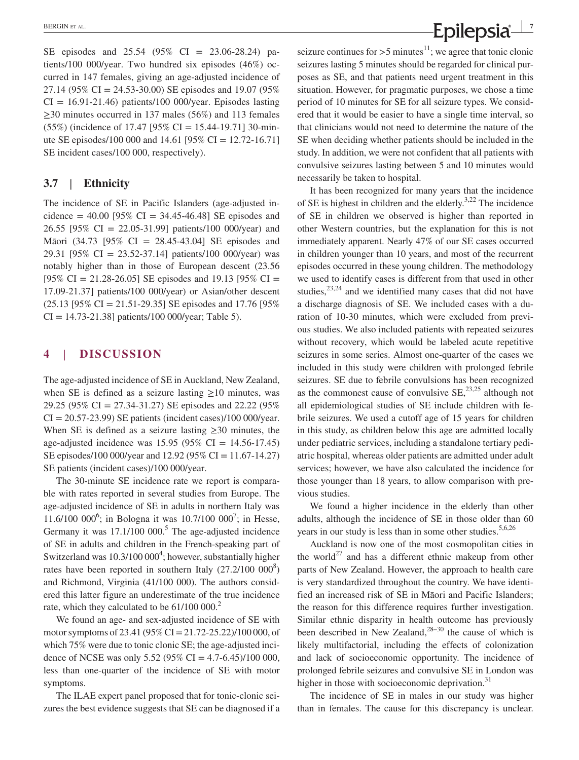SE episodes and 25.54 (95% CI = 23.06‐28.24) patients/100 000/year. Two hundred six episodes (46%) occurred in 147 females, giving an age‐adjusted incidence of 27.14 (95% CI = 24.53-30.00) SE episodes and 19.07 (95%)  $CI = 16.91-21.46$ ) patients/100 000/year. Episodes lasting ≥30 minutes occurred in 137 males (56%) and 113 females (55%) (incidence of 17.47 [95% CI = 15.44‐19.71] 30‐minute SE episodes/100 000 and 14.61 [95% CI = 12.72‐16.71] SE incident cases/100 000, respectively).

#### **3.7** | **Ethnicity**

The incidence of SE in Pacific Islanders (age-adjusted incidence =  $40.00$  [ $95\%$  CI = 34.45-46.48] SE episodes and 26.55 [95% CI = 22.05‐31.99] patients/100 000/year) and Māori (34.73 [95% CI = 28.45‐43.04] SE episodes and 29.31 [95% CI = 23.52‐37.14] patients/100 000/year) was notably higher than in those of European descent (23.56 [95% CI = 21.28-26.05] SE episodes and 19.13 [95% CI = 17.09‐21.37] patients/100 000/year) or Asian/other descent (25.13 [95% CI = 21.51‐29.35] SE episodes and 17.76 [95%  $CI = 14.73 - 21.38$ ] patients/100 000/year; Table 5).

#### **4** | **DISCUSSION**

The age-adjusted incidence of SE in Auckland, New Zealand, when SE is defined as a seizure lasting  $\geq$ 10 minutes, was 29.25 (95% CI = 27.34‐31.27) SE episodes and 22.22 (95%  $CI = 20.57 - 23.99$ ) SE patients (incident cases)/100 000/year. When SE is defined as a seizure lasting  $\geq 30$  minutes, the age-adjusted incidence was  $15.95 (95\% \text{ CI} = 14.56 - 17.45)$ SE episodes/100 000/year and 12.92 (95% CI = 11.67‐14.27) SE patients (incident cases)/100 000/year.

The 30-minute SE incidence rate we report is comparable with rates reported in several studies from Europe. The age‐adjusted incidence of SE in adults in northern Italy was 11.6/100 000<sup>6</sup>; in Bologna it was 10.7/100 000<sup>7</sup>; in Hesse, Germany it was  $17.1/100 000$ .<sup>5</sup> The age-adjusted incidence of SE in adults and children in the French‐speaking part of Switzerland was  $10.3/100 000^4$ ; however, substantially higher rates have been reported in southern Italy  $(27.2/100 000^8)$ and Richmond, Virginia (41/100 000). The authors considered this latter figure an underestimate of the true incidence rate, which they calculated to be  $61/100 000$ .<sup>2</sup>

We found an age- and sex-adjusted incidence of SE with motor symptoms of 23.41 (95% CI = 21.72‐25.22)/100 000, of which 75% were due to tonic clonic SE; the age-adjusted incidence of NCSE was only 5.52 (95% CI = 4.7-6.45)/100 000, less than one‐quarter of the incidence of SE with motor symptoms.

The ILAE expert panel proposed that for tonic‐clonic seizures the best evidence suggests that SE can be diagnosed if a

**EXAMPLE AL. CON ET AL. CON ET AL.** *PERGIN ET AL. PHPPSIA<sup>1</sup><sup>7</sup>* 

seizure continues for  $>5$  minutes<sup>11</sup>; we agree that tonic clonic seizures lasting 5 minutes should be regarded for clinical purposes as SE, and that patients need urgent treatment in this situation. However, for pragmatic purposes, we chose a time period of 10 minutes for SE for all seizure types. We considered that it would be easier to have a single time interval, so that clinicians would not need to determine the nature of the SE when deciding whether patients should be included in the study. In addition, we were not confident that all patients with convulsive seizures lasting between 5 and 10 minutes would necessarily be taken to hospital.

It has been recognized for many years that the incidence of SE is highest in children and the elderly.<sup>3,22</sup> The incidence of SE in children we observed is higher than reported in other Western countries, but the explanation for this is not immediately apparent. Nearly 47% of our SE cases occurred in children younger than 10 years, and most of the recurrent episodes occurred in these young children. The methodology we used to identify cases is different from that used in other studies, $23,24$  and we identified many cases that did not have a discharge diagnosis of SE. We included cases with a duration of 10‐30 minutes, which were excluded from previous studies. We also included patients with repeated seizures without recovery, which would be labeled acute repetitive seizures in some series. Almost one‐quarter of the cases we included in this study were children with prolonged febrile seizures. SE due to febrile convulsions has been recognized as the commonest cause of convulsive  $SE$ ,  $23,25$  although not all epidemiological studies of SE include children with febrile seizures. We used a cutoff age of 15 years for children in this study, as children below this age are admitted locally under pediatric services, including a standalone tertiary pediatric hospital, whereas older patients are admitted under adult services; however, we have also calculated the incidence for those younger than 18 years, to allow comparison with previous studies.

We found a higher incidence in the elderly than other adults, although the incidence of SE in those older than 60 years in our study is less than in some other studies.<sup>5,6,26</sup>

Auckland is now one of the most cosmopolitan cities in the world<sup>27</sup> and has a different ethnic makeup from other parts of New Zealand. However, the approach to health care is very standardized throughout the country. We have identified an increased risk of SE in Māori and Pacific Islanders; the reason for this difference requires further investigation. Similar ethnic disparity in health outcome has previously been described in New Zealand, $28-30$  the cause of which is likely multifactorial, including the effects of colonization and lack of socioeconomic opportunity. The incidence of prolonged febrile seizures and convulsive SE in London was higher in those with socioeconomic deprivation.<sup>31</sup>

The incidence of SE in males in our study was higher than in females. The cause for this discrepancy is unclear.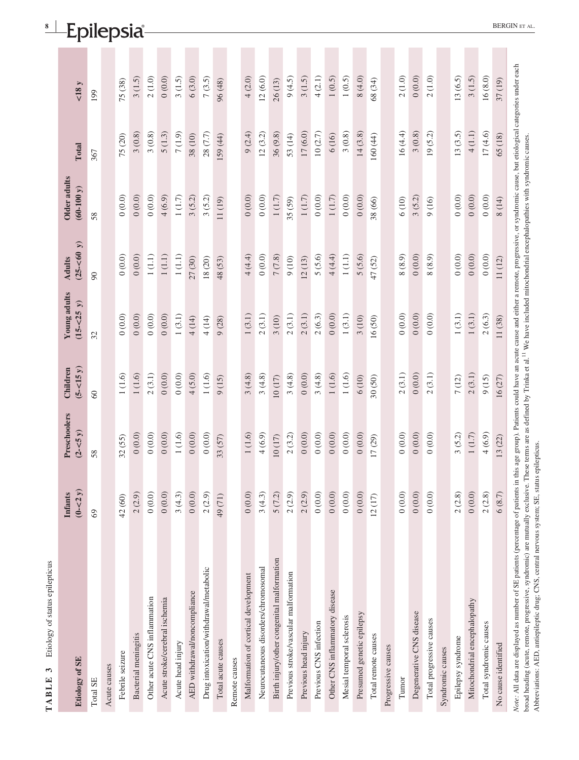| Etiology of SE                                                                                                                                                                                                                                                                                                                                                                                                                                   | $(0 - 2y)$<br><b>Infants</b> | Preschoolers<br>$(2 - 5y)$ | $(5 - < 15 y)$<br>Children | <b>Young adults</b><br>$(15 - 25 y)$ | $(25 - 60 y)$<br><b>Adults</b> | <b>Older</b> adults<br>$(60-100 y)$ | Total    | $<$ 18 y            |
|--------------------------------------------------------------------------------------------------------------------------------------------------------------------------------------------------------------------------------------------------------------------------------------------------------------------------------------------------------------------------------------------------------------------------------------------------|------------------------------|----------------------------|----------------------------|--------------------------------------|--------------------------------|-------------------------------------|----------|---------------------|
| Total SE                                                                                                                                                                                                                                                                                                                                                                                                                                         | 69                           | 58                         | $\odot$                    | 32                                   | 90                             | 58                                  | 367      | 199                 |
| Acute causes                                                                                                                                                                                                                                                                                                                                                                                                                                     |                              |                            |                            |                                      |                                |                                     |          |                     |
| Febrile seizure                                                                                                                                                                                                                                                                                                                                                                                                                                  | 42 (60)                      | 32 (55)                    | $1(1.6)$                   | 0(0.0)                               | 0(0.0)                         | (0.0)                               | 75 (20)  | 75 (38)             |
| Bacterial meningitis                                                                                                                                                                                                                                                                                                                                                                                                                             | 2(2.9)                       | 0(0.0)                     | $1(1.6)$                   | (0.0)0                               | (0.0)0                         | (0.0)0                              | 3(0.8)   | 3(1.5)              |
| Other acute CNS inflammation                                                                                                                                                                                                                                                                                                                                                                                                                     | 0(0.0)                       | 0(0.0)                     | 2(3.1)                     | (0.0, 0)                             | $1\left( 1.1\right)$           | 0(0.0)                              | 3(0.8)   | 2(1.0)              |
| Acute stroke/cerebral ischemia                                                                                                                                                                                                                                                                                                                                                                                                                   | 0(0.0)                       | 0(0.0)                     | 0(0.0)                     | 0(0.0)                               | $1\,(1.1)$                     | 4(6.9)                              | 5(1.3)   | 0(0.0)              |
| Acute head injury                                                                                                                                                                                                                                                                                                                                                                                                                                | 3(4.3)                       | $1(1.6)$                   | 0(0.0)                     | $1\left( 3.1\right)$                 | $1\,(1.1)$                     | 1(1.7)                              | 7(1.9)   | 3(1.5)              |
| AED withdrawal/noncompliance                                                                                                                                                                                                                                                                                                                                                                                                                     | 0(0.0)                       | 0(0.0)                     | 4(5.0)                     | 4 (14)                               | 27 (30)                        | 3(5.2)                              | 38 (10)  | 6(3.0)              |
| Drug intoxication/withdrawal/metabolic                                                                                                                                                                                                                                                                                                                                                                                                           | 2(2.9)                       | (0.0)                      | $1(1.6)$                   | 4(14)                                | 18(20)                         | 3(5.2)                              | 28 (7.7) | 7(3.5)              |
| Total acute causes                                                                                                                                                                                                                                                                                                                                                                                                                               | 49(71)                       | 33 (57)                    | 9(15)                      | 9(28)                                | 48(53)                         | 11(19)                              | 159 (44) | 96 (48)             |
| Remote causes                                                                                                                                                                                                                                                                                                                                                                                                                                    |                              |                            |                            |                                      |                                |                                     |          |                     |
| Malformation of cortical development                                                                                                                                                                                                                                                                                                                                                                                                             | 0(0.0)                       | $1(1.6)$                   | 3(4.8)                     | $1(3.1)$                             | 4(4.4)                         | 0(0.0)                              | 9(2.4)   | 4(2.0)              |
| Neurocutaneous disorders/chromosomal                                                                                                                                                                                                                                                                                                                                                                                                             | 3(4.3)                       | 4(6.9)                     | 3(4.8)                     | 2(3.1)                               | 0(0.0)                         | 0(0.0)                              | 12(3.2)  | 12(6.0)             |
| Birth injury/other congenital malformation                                                                                                                                                                                                                                                                                                                                                                                                       | 5(7.2)                       | 10(17)                     | 10(17)                     | 3(10)                                | $7\,(7.8)$                     | $1(1.7)$                            | 36 (9.8) | 26(13)              |
| Previous stroke/vascular malformation                                                                                                                                                                                                                                                                                                                                                                                                            | 2(2.9)                       | 2(3.2)                     | 3(4.8)                     | 2(3.1)                               | 9(10)                          | 35 (59)                             | 53 (14)  | 9(4.5)              |
| Previous head injury                                                                                                                                                                                                                                                                                                                                                                                                                             | 2(2.9)                       | 0(0.0)                     | 0(0.0)                     | 2(3.1)                               | 12(13)                         | $1(1.7)$                            | 17(6.0)  | 3(1.5)              |
| Previous CNS infection                                                                                                                                                                                                                                                                                                                                                                                                                           | 0(0.0)                       | 0(0.0)                     | 3(4.8)                     | 2(6.3)                               | 5(5.6)                         | 0(0.0)                              | 10(2.7)  | 4(2.1)              |
| Other CNS inflammatory disease                                                                                                                                                                                                                                                                                                                                                                                                                   | (0.0)                        | 0(0.0)                     | $1(1.6)$                   | 0(0.0)                               | 4(4.4)                         | 1(1.7)                              | 6(16)    | 1(0.5)              |
| Mesial temporal sclerosis                                                                                                                                                                                                                                                                                                                                                                                                                        | 0(0.0)                       | (0.0)                      | $1(1.6)$                   | $1(3.1)$                             | $1\left( 1.1\right)$           | 0(0.0)                              | 3(0.8)   | 1(0.5)              |
| Presumed genetic epilepsy                                                                                                                                                                                                                                                                                                                                                                                                                        | 0(0.0)                       | 0(0.0)                     | $6(10)$                    | 3(10)                                | 5(5.6)                         | 0(0.0)                              | 14(3.8)  | 8(4.0)              |
| Total remote causes                                                                                                                                                                                                                                                                                                                                                                                                                              | 12(17)                       | 17(29)                     | 30 (50)                    | 16(50)                               | 47 (52)                        | 38 (66)                             | 160 (44) | 68 (34)             |
| Progressive causes                                                                                                                                                                                                                                                                                                                                                                                                                               |                              |                            |                            |                                      |                                |                                     |          |                     |
| Tumor                                                                                                                                                                                                                                                                                                                                                                                                                                            | 0(0.0)                       | 0(0.0)                     | 2(3.1)                     | 0(0.0)                               | 8(8.9)                         | 6 (10)                              | 16(4.4)  | 2(1.0)              |
| Degenerative CNS disease                                                                                                                                                                                                                                                                                                                                                                                                                         | 0(0.0)                       | 0(0.0)                     | 0(0.0)                     | 0(0.0)                               | 0(0.0)                         | 3(5.2)                              | 3(0.8)   | 0(0.0)              |
| Total progressive causes                                                                                                                                                                                                                                                                                                                                                                                                                         | $0\ (0.0)$                   | $0\,(0.0)$                 | $2(3.1)$                   | $0\ (0.0)$                           | $8(8.9)$                       | 9(16)                               | 19(5.2)  | $2\left(1.0\right)$ |
| Syndromic causes                                                                                                                                                                                                                                                                                                                                                                                                                                 |                              |                            |                            |                                      |                                |                                     |          |                     |
| Epilepsy syndrome                                                                                                                                                                                                                                                                                                                                                                                                                                | 2(2.8)                       | 3(5.2)                     | 7(12)                      | $1(3.1)$                             | (0.0)0                         | 0(0.0)                              | 13(3.5)  | 13(6.5)             |
| Mitochondrial encephalopathy                                                                                                                                                                                                                                                                                                                                                                                                                     | (0.0)                        | $1(1.7)$                   | 2(3.1)                     | $1(3.1)$                             | (0.0)0                         | (0.0)                               | 4(1.1)   | 3(1.5)              |
| Total syndromic causes                                                                                                                                                                                                                                                                                                                                                                                                                           | 2(2.8)                       | 4(6.9)                     | 9(15)                      | 2(6.3)                               | 0(0.0)                         | 0(0.0)                              | 17(4.6)  | 16(8.0)             |
| No cause identified                                                                                                                                                                                                                                                                                                                                                                                                                              | 6(8.7)                       | 13 (22)                    | 16(27)                     | 11(38)                               | 11 (12)                        | 8 (14)                              | 65 (18)  | 37 (19)             |
| Note: All data are displayed as number of SE patients (percentage of patients in this age group). Patients could have an acute cause and either a remote, progressive, or syndromic cause, but etiological categories under ea<br>broad heading (acute, remote, progressive, syndromic) are mutually exclusive. These terms are as defined by Trinka et al. <sup>11</sup> We have included mitochondrial encephalopathies with syndromic causes. |                              |                            |                            |                                      |                                |                                     |          |                     |

**8 |** BERGIN

Abbreviations: AED, antiepileptic drug; CNS, central nervous system; SE, status epilepticus. Abbreviations: AED, antiepileptic drug; CNS, central nervous system; SE, status epilepticus.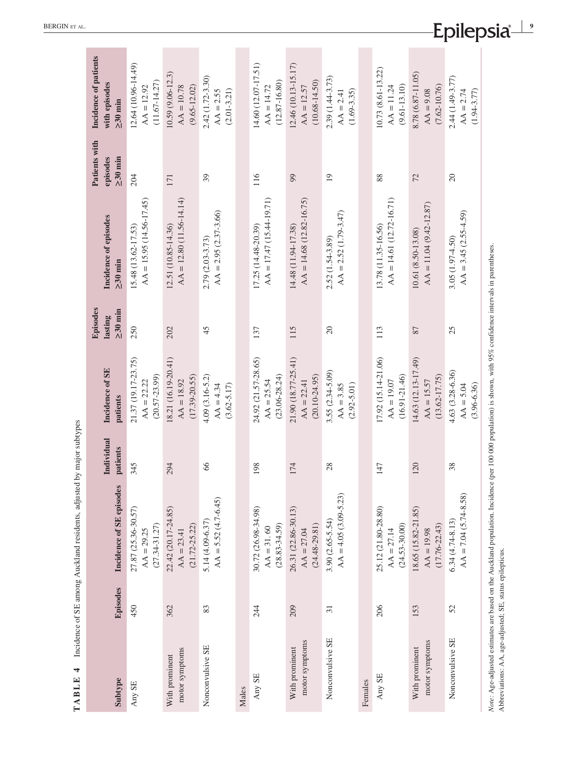| Subtype                          | Episodes | Incidence of SE episodes                                                                                                                                      | Individual<br>patients | Incidence of SE<br>patients                              | Episodes<br>$\geq 30$ min<br>lasting | Incidence of episodes<br>$\geq 30$ min             | Patients with<br>episodes<br>$\geq 30$ min | Incidence of patients<br>with episodes<br>$\geq 30$ min      |
|----------------------------------|----------|---------------------------------------------------------------------------------------------------------------------------------------------------------------|------------------------|----------------------------------------------------------|--------------------------------------|----------------------------------------------------|--------------------------------------------|--------------------------------------------------------------|
| Any SE                           | 450      | 27.87 (25.36-30.57)<br>$(27.34 - 31.27)$<br>$AA = 29.25$                                                                                                      | 345                    | 21.37 (19.17-23.75)<br>$(20.57 - 23.99)$<br>$AA = 22.22$ | 250                                  | $AA = 15.95(14.56 - 17.45)$<br>15.48 (13.62-17.53) | 204                                        | 12.64 (10.96-14.49)<br>$(11.67 - 14.27)$<br>$AA = 12.92$     |
| motor symptoms<br>With prominent | 362      | 22.42 (20.17-24.85)<br>$(21.72 - 25.22)$<br>$AA = 23.41$                                                                                                      | 294                    | 18.21 (16.19-20.41)<br>$(17.39 - 20.55)$<br>$AA = 18.92$ | 202                                  | $AA = 12.80(11.56-14.14)$<br>12.51 (10.85-14.36)   | 171                                        | $10.59(9.06-12.3)$<br>$AA = 10.78$<br>$(9.65 - 12.02)$       |
| Nonconvulsive SE                 | 83       | $AA = 5.52(4.7-6.45)$<br>$5.14(4.09-6.37)$                                                                                                                    | 66                     | $4.09(3.16-5.2)$<br>$(3.62 - 5.17)$<br>$AA = 4.34$       | 45                                   | $AA = 2.95 (2.37 - 3.66)$<br>2.79 (2.03-3.73)      | 39                                         | 2.42 (1.72-3.30)<br>$(2.01 - 3.21)$<br>$AA = 2.55$           |
| Males                            |          |                                                                                                                                                               |                        |                                                          |                                      |                                                    |                                            |                                                              |
| Any SE                           | 244      | 30.72 (26.98-34.98)<br>$(28.83 - 34.59)$<br>$AA = 31.60$                                                                                                      | 198                    | 24.92 (21.57-28.65)<br>$(23.06 - 28.24)$<br>$AA = 25.54$ | 137                                  | $AA = 17.47(15.44-19.71)$<br>17.25 (14.48-20.39)   | 116                                        | $(4.60(12.07 - 17.51))$<br>$(12.87 - 16.80)$<br>$AA = 14.72$ |
| motor symptoms<br>With prominent | 209      | 26.31 (22.86-30.13)<br>$(24.48 - 29.81)$<br>$AA = 27.04$                                                                                                      | 174                    | 21.90 (18.77-25.41)<br>$(20.10 - 24.95)$<br>$AA = 22.41$ | 115                                  | $AA = 14.68(12.82 - 16.75)$<br>14.48 (11.94-17.38) | 99                                         | $12.46(10.13 - 15.17)$<br>$(10.68 - 14.50)$<br>$AA = 12.57$  |
| Nonconvulsive SE                 | 31       | $AA = 4.05 (3.09 - 5.23)$<br>3.90 (2.65-5.54)                                                                                                                 | 28                     | 3.55 (2.34-5.09)<br>$(2.92 - 5.01)$<br>$AA = 3.85$       | $\Omega$                             | $AA = 2.52(1.79-3.47)$<br>2.52 (1.54-3.89)         | $\overline{19}$                            | $2.39(1.44-3.73)$<br>$(1.69 - 3.35)$<br>$AA = 2.41$          |
| Females                          |          |                                                                                                                                                               |                        |                                                          |                                      |                                                    |                                            |                                                              |
| Any SE                           | 206      | 25.12 (21.80-28.80)<br>$(24.53 - 30.00)$<br>$AA = 27.14$                                                                                                      | 147                    | 17.92 (15.14-21.06)<br>$(16.91 - 21.46)$<br>$AA = 19.07$ | 113                                  | $AA = 14.61(12.72 - 16.71)$<br>13.78 (11.35-16.56) | 88                                         | $10.73(8.61 - 13.22)$<br>$(9.61 - 13.10)$<br>$AA = 11.24$    |
| motor symptoms<br>With prominent | 153      | 18.65 (15.82-21.85)<br>$(17.76 - 22.43)$<br>$AA = 19.98$                                                                                                      | 120                    | 14.63 (12.13-17.49)<br>$(13.62 - 17.75)$<br>$AA = 15.57$ | 87                                   | $AA = 11.04 (9.42 - 12.87)$<br>10.61 (8.50-13.08)  | 72                                         | 8.78 (6.87-11.05)<br>$(7.62 - 10.76)$<br>$AA = 9.08$         |
| Nonconvulsive SE                 | 52       | $AA = 7.04 (5.74 - 8.58)$<br>$6.34(4.74-8.13)$                                                                                                                | 38                     | 4.63 (3.28-6.36)<br>$(3.96 - 6.36)$<br>$AA = 5.04$       | 25                                   | $AA = 3.45 (2.55 - 4.59)$<br>3.05 (1.97-4.50)      | 20                                         | 2.44 (1.49-3.77)<br>$AA = 2.74$<br>$(1.94 - 3.77)$           |
|                                  |          | Note: Age-adjusted estimates are based on the Auckland population. Incidence (per 100 000 population) is shown, with 95% confidence intervals in parentheses. |                        |                                                          |                                      |                                                    |                                            |                                                              |

TABLE 4 Incidence of SE among Auckland residents, adjusted by major subtypes **TABLE 4** Incidence of SE among Auckland residents, adjusted by major subtypes

*Note.* Age-adjusted estimates are based on the Aucknatu<br>Abbreviations: AA, age-adjusted; SE, status epilepticus. Abbreviations: AA, age‐adjusted; SE, status epilepticus.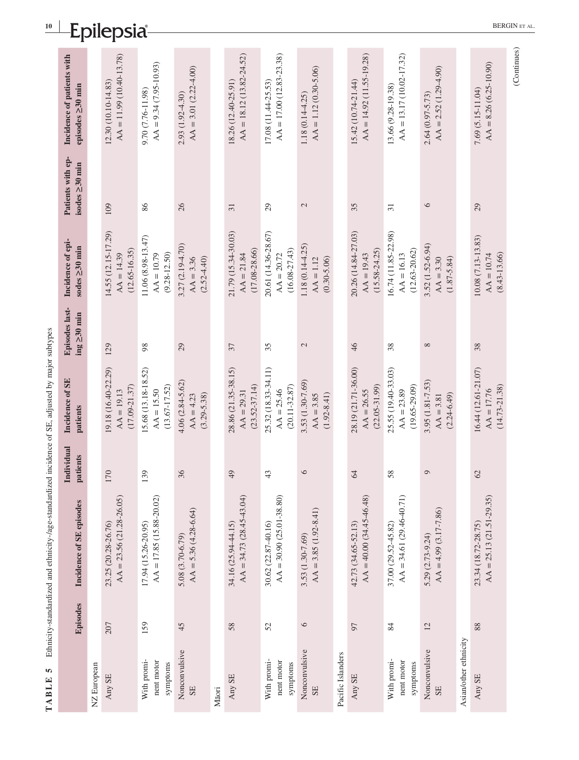|                                       | Episodes | Incidence of SE episodes                            | Individual<br>patients | Incidence of SE<br>patients                              | Episodes last-<br>$\text{img} \geq 30 \text{ min}$ | Incidence of epi-<br>sodes $\geq 30$ min                  | Patients with ep-<br>isodes $\geq 30$ min | Incidence of patients with<br>episodes ≥30 min      |  |
|---------------------------------------|----------|-----------------------------------------------------|------------------------|----------------------------------------------------------|----------------------------------------------------|-----------------------------------------------------------|-------------------------------------------|-----------------------------------------------------|--|
| NZ European                           |          |                                                     |                        |                                                          |                                                    |                                                           |                                           |                                                     |  |
| Any SE                                | 207      | $AA = 23.56 (21.28 - 26.05)$<br>23.25 (20.28-26.76) | 170                    | 19.18 (16.40-22.29)<br>$(17.09 - 21.37)$<br>$AA = 19.13$ | 129                                                | 14.55 (12.15-17.29)<br>$(12.65 - 16.35)$<br>$AA = 14.39$  | 109                                       | $AA = 11.99(10.40-13.78)$<br>12.30 (10.10-14.83)    |  |
| With promi-<br>nent motor<br>symptoms | 159      | $AA = 17.85(15.88 - 20.02)$<br>17.94 (15.26-20.95)  | 139                    | 15.68 (13.18-18.52)<br>$(13.67 - 17.52)$<br>$AA = 15.50$ | 98                                                 | 11.06 (8.98-13.47)<br>$(9.28 - 12.50)$<br>$AA = 10.79$    | 86                                        | $AA = 9.34 (7.95 - 10.93)$<br>9.70 (7.76-11.98)     |  |
| Nonconvulsive<br>SE                   | 45       | $AA = 5.36(4.28-6.64)$<br>5.08 (3.70-6.79)          | 36                     | 4.06 (2.84-5.62)<br>$(3.29 - 5.38)$<br>$AA = 4.23$       | 29                                                 | 3.27 (2.19-4.70)<br>$AA = 3.36$<br>$(2.52 - 4.40)$        | 26                                        | $AA = 3.01 (2.22 - 4.00)$<br>2.93 (1.92-4.30)       |  |
| Māori                                 |          |                                                     |                        |                                                          |                                                    |                                                           |                                           |                                                     |  |
| Any SE                                | 58       | $AA = 34.73(28.45-43.04)$<br>34.16 (25.94-44.15)    | 49                     | 28.86 (21.35-38.15)<br>$(23.52 - 37.14)$<br>$AA = 29.31$ | 37                                                 | 21.79 (15.34-30.03)<br>$(17.08 - 28.66)$<br>$AA = 21.84$  | $\overline{31}$                           | $AA = 18.12(13.82 - 24.52)$<br>18.26 (12.40-25.91)  |  |
| With promi-<br>nent motor<br>symptoms | 52       | $AA = 30.90 (25.01 - 38.80)$<br>30.62 (22.87-40.16) | 43                     | 25.32 (18.33-34.11)<br>$(20.11 - 32.87)$<br>$AA = 25.46$ | 35                                                 | 20.61 (14.36-28.67)<br>$(16.08 - 27.43)$<br>$AA = 20.72$  | 29                                        | $AA = 17.00(12.83 - 23.38)$<br>17.08 (11.44-25.53)  |  |
| Nonconvulsive<br>SE                   | $\circ$  | $AA = 3.85(1.92 - 8.41)$<br>3.53 (1.30-7.69)        | $\circ$                | 3.53 (1.30-7.69)<br>$AA = 3.85$<br>$(1.92 - 8.41)$       | 2                                                  | 1.18 (0.14-4.25)<br>$(0.30 - 5.06)$<br>$AA = 1.12$        | 2                                         | $AA = 1.12(0.30-5.06)$<br>$1.18(0.14-4.25)$         |  |
| Pacific Islanders                     |          |                                                     |                        |                                                          |                                                    |                                                           |                                           |                                                     |  |
| Any SE                                | 97       | $AA = 40.00(34.45-46.48)$<br>42.73 (34.65-52.13)    | $\mathcal{Z}$          | 28.19 (21.71-36.00)<br>$(22.05 - 31.99)$<br>$AA = 26.55$ | 46                                                 | 20.26 (14.84-27.03)<br>$(15.58 - 24.25)$<br>$AA = 19.43$  | 35                                        | $AA = 14.92 (11.55 - 19.28)$<br>15.42 (10.74-21.44) |  |
| With promi-<br>nent motor<br>symptoms | 84       | $AA = 34.61(29.46-40.71)$<br>37.00 (29.52-45.82)    | 58                     | 25.55 (19.40-33.03)<br>$(19.65 - 29.09)$<br>$AA = 23.89$ | 38                                                 | 16.74 (11.85-22.98)<br>$(12.63 - 20.62)$<br>$AA = 16.13$  | $\overline{31}$                           | $AA = 13.17(10.02 - 17.32)$<br>13.66 (9.28-19.38)   |  |
| Nonconvulsive<br>SE                   | 12       | $AA = 4.99(3.17-7.86)$<br>5.29 (2.73-9.24)          | $\circ$                | 3.95 (1.81-7.53)<br>$(2.24 - 6.49)$<br>$AA = 3.81$       | $\infty$                                           | 3.52 (1.52-6.94)<br>$(1.87 - 5.84)$<br>$AA = 3.30$        | $\circ$                                   | $AA = 2.52(1.29-4.90)$<br>2.64 (0.97-5.73)          |  |
| Asian/other ethnicity                 |          |                                                     |                        |                                                          |                                                    |                                                           |                                           |                                                     |  |
| Any SE                                | 88       | $AA = 25.13 (21.51 - 29.35)$<br>23.34 (18.72-28.75) | 62                     | 16.44 (12.61-21.07)<br>$(14.73 - 21.38)$<br>$AA = 17.76$ | 38                                                 | $10.08(7.13 - 13.83)$<br>$(8.43 - 13.66)$<br>$AA = 10.74$ | 29                                        | $AA = 8.26(6.25-10.90)$<br>7.69 (5.15-11.04)        |  |
|                                       |          |                                                     |                        |                                                          |                                                    |                                                           |                                           |                                                     |  |

TABLE 5 Ethnicity-standardized and ethnicity-/age-standardized incidence of SE, adjusted by major subtypes **TABLE 5** Ethnicity‐standardized and ethnicity‐/age‐standardized incidence of SE, adjusted by major subtypes

**10 |** BERGIN

(Continues) (Continues)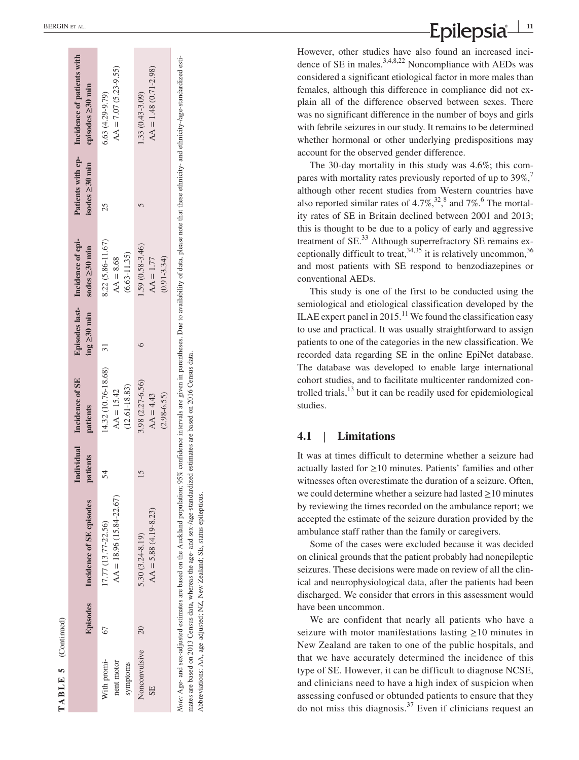| m                  |  |
|--------------------|--|
| $\mathbf{r}$<br>l, |  |
| ≏                  |  |
| ⋖                  |  |
|                    |  |

| ABLE 5 (Continued) |                                                  |          |                                                             |                                  |                                                      |                      |                                                                     |
|--------------------|--------------------------------------------------|----------|-------------------------------------------------------------|----------------------------------|------------------------------------------------------|----------------------|---------------------------------------------------------------------|
| Episodes           | Incidence of SE episodes                         | patients | individual Incidence of SE<br>patients                      | $\text{ing} \geq 30 \text{ min}$ | Episodes last-Incidence of epi-<br>sodes ≥30 min     | isodes $\geq 30$ min | Patients with ep-<br>Incidence of patients with<br>episodes ≥30 min |
| 67                 | $AA = 18.96(15.84-22.67)$<br>17.77 (13.77-22.56) | 54       | $4.32(10.76-18.68)$ 31<br>$(12.61 - 18.83)$<br>$AA = 15.42$ |                                  | 8.22 (5.86-11.67)<br>$(6.63 - 11.35)$<br>$AA = 8.68$ | 25                   | $AA = 7.07(5.23-9.55)$<br>$6.63(4.29-9.79)$                         |
| $\Omega$           | $AA = 5.88(4.19-8.23)$<br>5.30 (3.24-8.19)       |          | 8.98 (2.27-6.56)<br>$AA = 4.43$<br>$(2.98 - 6.55)$          |                                  | $.59(0.58-3.46)$<br>$(0.91 - 3.34)$<br>$AA = 1.77$   |                      | $AA = 1.48(0.71 - 2.98)$<br>$.33(0.43 - 3.09)$                      |
|                    |                                                  |          |                                                             |                                  |                                                      |                      |                                                                     |

Note: Age- and sex-adjusted estimates are based on the Auckland population; 95% confidence intervals are given in parentheses. Due to availability of data, please note that these ethnicity-and ethnicity-/age-standardized e Note: Age- and sex-adjusted estimates are based on the Auckland population; 95% confidence intervals are given in parentheses. Due to availability of data, please note that these ethnicity-and ethnicity-lage-standardized e mates are based on 2013 Census data, whereas the age- and sex-/age-standardized estimates are based on 2016 Census data. mates are based on 2013 Census data, whereas the age‐ and sex‐/age‐standardized estimates are based on 2016 Census data.

Abbreviations: AA, age‐adjusted; NZ, New Zealand; SE, status epilepticus.

Abbreviations: AA, age-adjusted; NZ, New Zealand; SE, status epilepticus.

 **<sup>|</sup>** BERGIN et al. **<sup>11</sup>**

However, other studies have also found an increased inci dence of SE in males. $3,4,8,22$  Noncompliance with AEDs was considered a significant etiological factor in more males than females, although this difference in compliance did not ex plain all of the difference observed between sexes. There was no significant difference in the number of boys and girls with febrile seizures in our study. It remains to be determined whether hormonal or other underlying predispositions may account for the observed gender difference.

The 30-day mortality in this study was 4.6%; this compares with mortality rates previously reported of up to  $39\%,$ <sup>7</sup> although other recent studies from Western countries have also reported similar rates of  $4.7\%,^{32},^{8}$  and  $7\%$ .<sup>6</sup> The mortality rates of SE in Britain declined between 2001 and 2013; this is thought to be due to a policy of early and aggressive treatment of  $SE$ .<sup>33</sup> Although superrefractory SE remains exceptionally difficult to treat,  $34.35$  it is relatively uncommon,  $36$ and most patients with SE respond to benzodiazepines or conventional AEDs.

This study is one of the first to be conducted using the semiological and etiological classification developed by the ILAE expert panel in 2015.<sup>11</sup> We found the classification easy to use and practical. It was usually straightforward to assign patients to one of the categories in the new classification. We recorded data regarding SE in the online EpiNet database. The database was developed to enable large international cohort studies, and to facilitate multicenter randomized con trolled trials, $^{13}$  but it can be readily used for epidemiological studies.

#### **4.1** | **Limitations**

It was at times difficult to determine whether a seizure had actually lasted for  $\geq$ 10 minutes. Patients' families and other witnesses often overestimate the duration of a seizure. Often, we could determine whether a seizure had lasted ≥10 minutes by reviewing the times recorded on the ambulance report; we accepted the estimate of the seizure duration provided by the ambulance staff rather than the family or caregivers.

Some of the cases were excluded because it was decided on clinical grounds that the patient probably had nonepileptic seizures. These decisions were made on review of all the clin ical and neurophysiological data, after the patients had been discharged. We consider that errors in this assessment would have been uncommon.

We are confident that nearly all patients who have a seizure with motor manifestations lasting  $\geq$ 10 minutes in New Zealand are taken to one of the public hospitals, and that we have accurately determined the incidence of this type of SE. However, it can be difficult to diagnose NCSE, and clinicians need to have a high index of suspicion when assessing confused or obtunded patients to ensure that they do not miss this diagnosis.<sup>37</sup> Even if clinicians request an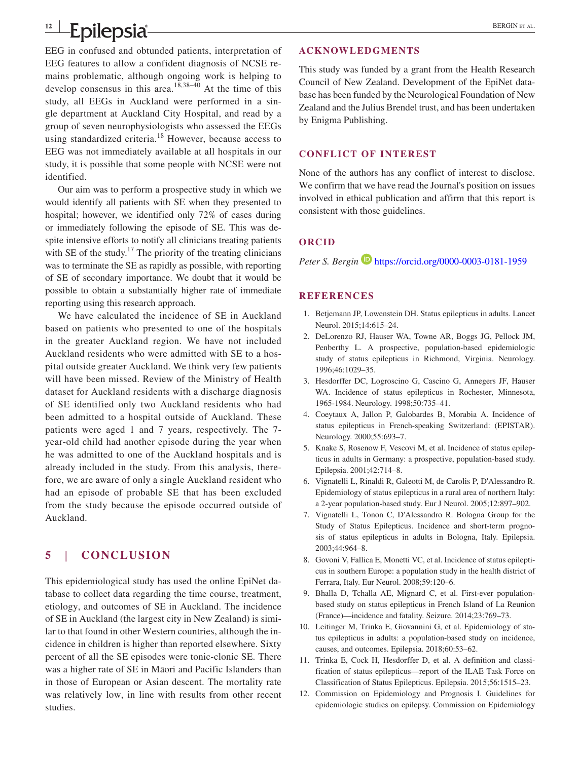#### **<sup>12</sup> <sup>|</sup> Epilepsia**

EEG in confused and obtunded patients, interpretation of EEG features to allow a confident diagnosis of NCSE remains problematic, although ongoing work is helping to develop consensus in this area.<sup>18,38-40</sup> At the time of this study, all EEGs in Auckland were performed in a single department at Auckland City Hospital, and read by a group of seven neurophysiologists who assessed the EEGs using standardized criteria. $18$  However, because access to EEG was not immediately available at all hospitals in our study, it is possible that some people with NCSE were not identified.

Our aim was to perform a prospective study in which we would identify all patients with SE when they presented to hospital; however, we identified only 72% of cases during or immediately following the episode of SE. This was despite intensive efforts to notify all clinicians treating patients with SE of the study.<sup>17</sup> The priority of the treating clinicians was to terminate the SE as rapidly as possible, with reporting of SE of secondary importance. We doubt that it would be possible to obtain a substantially higher rate of immediate reporting using this research approach.

We have calculated the incidence of SE in Auckland based on patients who presented to one of the hospitals in the greater Auckland region. We have not included Auckland residents who were admitted with SE to a hospital outside greater Auckland. We think very few patients will have been missed. Review of the Ministry of Health dataset for Auckland residents with a discharge diagnosis of SE identified only two Auckland residents who had been admitted to a hospital outside of Auckland. These patients were aged 1 and 7 years, respectively. The 7‐ year‐old child had another episode during the year when he was admitted to one of the Auckland hospitals and is already included in the study. From this analysis, therefore, we are aware of only a single Auckland resident who had an episode of probable SE that has been excluded from the study because the episode occurred outside of Auckland.

### **5** | **CONCLUSION**

This epidemiological study has used the online EpiNet database to collect data regarding the time course, treatment, etiology, and outcomes of SE in Auckland. The incidence of SE in Auckland (the largest city in New Zealand) is similar to that found in other Western countries, although the incidence in children is higher than reported elsewhere. Sixty percent of all the SE episodes were tonic‐clonic SE. There was a higher rate of SE in Māori and Pacific Islanders than in those of European or Asian descent. The mortality rate was relatively low, in line with results from other recent studies.

#### **ACKNOWLEDGMENTS**

This study was funded by a grant from the Health Research Council of New Zealand. Development of the EpiNet database has been funded by the Neurological Foundation of New Zealand and the Julius Brendel trust, and has been undertaken by Enigma Publishing.

#### **CONFLICT OF INTEREST**

None of the authors has any conflict of interest to disclose. We confirm that we have read the Journal's position on issues involved in ethical publication and affirm that this report is consistent with those guidelines.

#### **ORCID**

*Peter S. Bergin* **b** <https://orcid.org/0000-0003-0181-1959>

#### **REFERENCES**

- 1. Betjemann JP, Lowenstein DH. Status epilepticus in adults. Lancet Neurol. 2015;14:615–24.
- 2. DeLorenzo RJ, Hauser WA, Towne AR, Boggs JG, Pellock JM, Penberthy L. A prospective, population‐based epidemiologic study of status epilepticus in Richmond, Virginia. Neurology. 1996;46:1029–35.
- 3. Hesdorffer DC, Logroscino G, Cascino G, Annegers JF, Hauser WA. Incidence of status epilepticus in Rochester, Minnesota, 1965‐1984. Neurology. 1998;50:735–41.
- 4. Coeytaux A, Jallon P, Galobardes B, Morabia A. Incidence of status epilepticus in French‐speaking Switzerland: (EPISTAR). Neurology. 2000;55:693–7.
- 5. Knake S, Rosenow F, Vescovi M, et al. Incidence of status epilepticus in adults in Germany: a prospective, population‐based study. Epilepsia. 2001;42:714–8.
- 6. Vignatelli L, Rinaldi R, Galeotti M, de Carolis P, D'Alessandro R. Epidemiology of status epilepticus in a rural area of northern Italy: a 2‐year population‐based study. Eur J Neurol. 2005;12:897–902.
- 7. Vignatelli L, Tonon C, D'Alessandro R. Bologna Group for the Study of Status Epilepticus. Incidence and short-term prognosis of status epilepticus in adults in Bologna, Italy. Epilepsia. 2003;44:964–8.
- 8. Govoni V, Fallica E, Monetti VC, et al. Incidence of status epilepticus in southern Europe: a population study in the health district of Ferrara, Italy. Eur Neurol. 2008;59:120–6.
- 9. Bhalla D, Tchalla AE, Mignard C, et al. First‐ever population‐ based study on status epilepticus in French Island of La Reunion (France)—incidence and fatality. Seizure. 2014;23:769–73.
- 10. Leitinger M, Trinka E, Giovannini G, et al. Epidemiology of status epilepticus in adults: a population‐based study on incidence, causes, and outcomes. Epilepsia. 2018;60:53–62.
- 11. Trinka E, Cock H, Hesdorffer D, et al. A definition and classification of status epilepticus—report of the ILAE Task Force on Classification of Status Epilepticus. Epilepsia. 2015;56:1515–23.
- 12. Commission on Epidemiology and Prognosis I. Guidelines for epidemiologic studies on epilepsy. Commission on Epidemiology